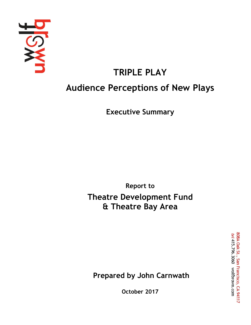

# **TRIPLE PLAY Audience Perceptions of New Plays**

**Executive Summary**

**Report to Theatre Development Fund & Theatre Bay Area**

**Prepared by John Carnwath**

**October 2017**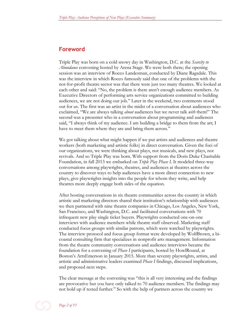# **Foreword**

Triple Play was born on a cold snowy day in Washington, D.C. at the *Scarcity to Abundance* convening hosted by Arena Stage. We were both there; the opening session was an interview of Rocco Landesman, conducted by Diane Ragsdale. This was the interview in which Rocco famously said that one of the problems with the not-for-profit theatre sector was that there were just too many theatres. We looked at each other and said: "No, the problem is there aren't enough audience members. As Executive Directors of performing arts service organizations committed to building audiences, we are not doing our job." Later in the weekend, two comments stood out for us. The first was an artist in the midst of a conversation about audiences who exclaimed, "We are always talking *about* audiences but we never talk *with* them!" The second was a presenter who in a conversation about programming and audiences said, "I always think of my audience. I am building a bridge to them from the art; I have to meet them where they are and bring them across."

We got talking about what might happen if we put artists and audiences and theatre workers (both marketing and artistic folks) in direct conversation. Given the foci of our organizations, we were thinking about plays, not musicals, and new plays, not revivals. And so Triple Play was born. With support from the Doris Duke Charitable Foundation, in fall 2013 we embarked on *Triple Play Phase I*. It modeled three-way conversations among playwrights, theatres, and audiences at theatres across the country to discover ways to help audiences have a more direct connection to new plays, give playwrights insights into the people for whom they write, and help theatres more deeply engage both sides of the equation.

After hosting conversations in six theatre communities across the country in which artistic and marketing directors shared their institution's relationship with audiences we then partnered with nine theatre companies in Chicago, Los Angeles, New York, San Francisco, and Washington, D.C. and facilitated conversations with 70 infrequent new play single ticket buyers. Playwrights conducted one-on-one interviews with audience members while theatre staff observed. Marketing staff conducted focus groups with similar patrons, which were watched by playwrights*.*  The interview protocol and focus group format were developed by WolfBrown, a bicoastal consulting firm that specializes in nonprofit arts management. Information from the theatre community conversations and audience interviews became the foundation for a convening of *Phase I* participants, hosted by HowlRound, at Boston's ArtsEmerson in January 2015. More than seventy playwrights, artists, and artistic and administrative leaders examined *Phase I* findings, discussed implications, and proposed next steps.

The clear message at the convening was "this is all very interesting and the findings are provocative but you have only talked to 70 audience members. The findings may not hold up if tested further." So with the help of partners across the country we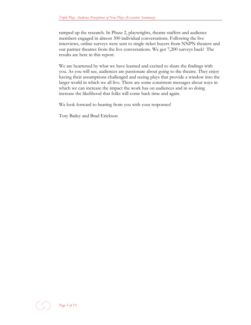ramped up the research. In Phase 2, playwrights, theatre staffers and audience members engaged in almost 300 individual conversations. Following the live interviews, online surveys were sent to single ticket buyers from NNPN theaters and our partner theatres from the live conversations. We got 7,200 surveys back! The results are here in this report.

We are heartened by what we have learned and excited to share the findings with you. As you will see, audiences are passionate about going to the theatre. They enjoy having their assumptions challenged and seeing plays that provide a window into the larger world in which we all live. There are some consistent messages about ways in which we can increase the impact the work has on audiences and in so doing increase the likelihood that folks will come back time and again.

We look forward to hearing from you with your responses!

Tory Bailey and Brad Erickson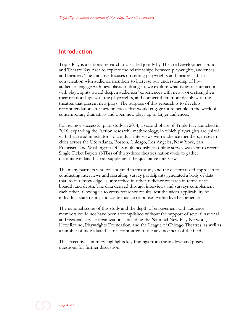# **Introduction**

Triple Play is a national research project led jointly by Theatre Development Fund and Theatre Bay Area to explore the relationships between playwrights, audiences, and theatres. The initiative focuses on setting playwrights and theatre staff in conversation with audience members to increase our understanding of how audiences engage with new plays. In doing so, we explore what types of interaction with playwrights would deepen audiences' experiences with new work, strengthen their relationships with the playwrights, and connect them more deeply with the theatres that present new plays. The purpose of this research is to develop recommendations for new practices that would engage more people in the work of contemporary dramatists and open new plays up to larger audiences.

Following a successful pilot study in 2014, a second phase of Triple Play launched in 2016, expanding the "action research" methodology, in which playwrights are paired with theatre administrators to conduct interviews with audience members, to seven cities across the US: Atlanta, Boston, Chicago, Los Angeles, New York, San Francisco, and Washington DC. Simultaneously, an online survey was sent to recent Single Ticket Buyers (STBs) of thirty-three theatres nation-wide to gather quantitative data that can supplement the qualitative interviews.

The many partners who collaborated in this study and the decentralized approach to conducting interviews and recruiting survey participants generated a body of data that, to our knowledge, is unmatched in other audience research in terms of its breadth and depth. The data derived through interviews and surveys complement each other, allowing us to cross-reference results, test the wider applicability of individual statements, and contextualize responses within lived experiences.

The national scope of this study and the depth of engagement with audience members could not have been accomplished without the support of several national and regional service organizations, including the National New Play Network, HowlRound, Playwrights Foundation, and the League of Chicago Theatres, as well as a number of individual theatres committed to the advancement of the field.

This executive summary highlights key findings from the analysis and poses questions for further discussion.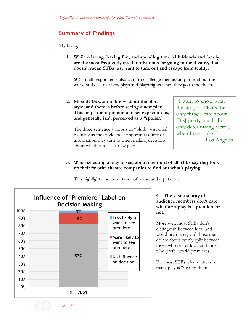# **Summary of Findings**

#### Marketing

**1. While relaxing, having fun, and spending time with friends and family are the most frequently cited motivations for going to the theatre, that doesn't mean STBs just want to tune out and escape from reality.** 

60% of all respondents also want to challenge their assumptions about the world and discover new plays and playwrights when they go to the theatre.

### **2. Most STBs want to know about the plot, style, and themes before seeing a new play. This helps them prepare and set expectations, and generally isn't perceived as a "spoiler."**

The three-sentence synopsis or "blurb" was cited by many as the single most important source of information they turn to when making decisions about whether to see a new play.

"I want to know what the story is. That's the only thing I care about. [It's] pretty much the only determining factor, when I see a play." Los Angeles

**3. When selecting a play to see, about one third of all STBs say they look up their favorite theatre companies to find out what's playing.**

This highlights the importance of brand and reputation.



**4. The vast majority of audience members don't care whether a play is a premiere or not.**

Moreover, most STBs don't distinguish between local and world premieres, and those that do are about evenly split between those who prefer local and those who prefer world premieres.

For most STBs what matters is that a play is "new to them."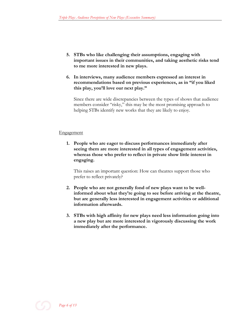- **5. STBs who like challenging their assumptions, engaging with important issues in their communities, and taking aesthetic risks tend to me more interested in new plays.**
- **6. In interviews, many audience members expressed an interest in recommendations based on previous experiences, as in "if you liked this play, you'll love our next play."**

Since there are wide discrepancies between the types of shows that audience members consider "risky," this may be the most promising approach to helping STBs identify new works that they are likely to enjoy.

#### **Engagement**

**1. People who are eager to discuss performances immediately after seeing them are more interested in all types of engagement activities, whereas those who prefer to reflect in private show little interest in engaging.**

This raises an important question: How can theatres support those who prefer to reflect privately?

- **2. People who are not generally fond of new plays want to be wellinformed about what they're going to see before arriving at the theatre, but are generally less interested in engagement activities or additional information afterwards.**
- **3. STBs with high affinity for new plays need less information going into a new play but are more interested in vigorously discussing the work immediately after the performance.**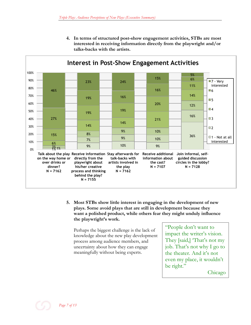

**4. In terms of structured post-show engagement activities, STBs are most interested in receiving information directly from the playwright and/or talks-backs with the artists.**

**5. Most STBs show little interest in engaging in the development of new plays. Some avoid plays that are still in development because they want a polished product, while others fear they might unduly influence the playwright's work.**

Perhaps the biggest challenge is the lack of knowledge about the new play development process among audience members, and uncertainty about how they can engage meaningfully without being experts.

"People don't want to impact the writer's vision. They [said,] 'That's not my job. That's not why I go to the theater. And it's not even my place, it wouldn't be right."

Chicago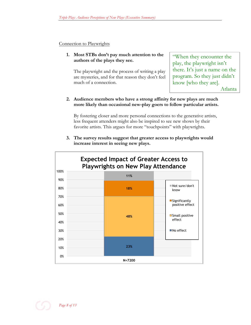#### Connection to Playwrights

**1. Most STBs don't pay much attention to the authors of the plays they see.**

The playwright and the process of writing a play are mysteries, and for that reason they don't feel much of a connection.

"When they encounter the play, the playwright isn't there. It's just a name on the program. So they just didn't know [who they are]. Atlanta

### **2. Audience members who have a strong affinity for new plays are much more likely than occasional new-play goers to follow particular artists.**

By fostering closer and more personal connections to the generative artists, less frequent attenders might also be inspired to see new shows by their favorite artists. This argues for more "touchpoints" with playwrights.

**3. The survey results suggest that greater access to playwrights would increase interest in seeing new plays.**

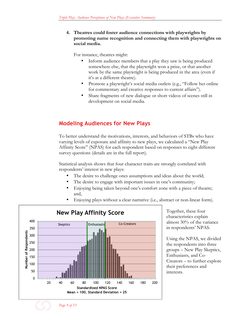**4. Theatres could foster audience connections with playwrights by promoting name recognition and connecting them with playwrights on social media.**

For instance, theatres might:

- Inform audience members that a play they saw is being produced somewhere else, that the playwright won a prize, or that another work by the same playwright is being produced in the area (even if it's at a different theatre).
- Promote a playwright's social media outlets (e.g., "Follow her online for commentary and creative responses to current affairs").
- Share fragments of new dialogue or short videos of scenes still in development on social media.

# **Modeling Audiences for New Plays**

To better understand the motivations, interests, and behaviors of STBs who have varying levels of exposure and affinity to new plays, we calculated a "New Play Affinity Score" (NPAS) for each respondent based on responses to eight different survey questions (details are in the full report).

Statistical analysis shows that four character traits are strongly correlated with respondents' interest in new plays:

- The desire to challenge ones assumptions and ideas about the world;
- The desire to engage with important issues in one's community;
- Enjoying being taken beyond one's comfort zone with a piece of theatre; and,



• Enjoying plays without a clear narrative (i.e., abstract or non-linear form).

Together, these four characteristics explain almost 30% of the variance in respondents' NPAS.

Using the NPAS, we divided the respondents into three groups – New Play Skeptics, Enthusiasts, and Co-Creators – to further explore their preferences and interests.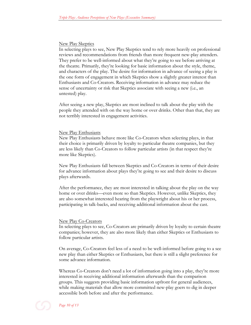#### New Play Skeptics

In selecting plays to see, New Play Skeptics tend to rely more heavily on professional reviews and recommendations from friends than more frequent new-play attenders. They prefer to be well-informed about what they're going to see before arriving at the theatre. Primarily, they're looking for basic information about the style, theme, and characters of the play. The desire for information in advance of seeing a play is the one form of engagement in which Skeptics show a slightly greater interest than Enthusiasts and Co-Creators. Receiving information in advance may reduce the sense of uncertainty or risk that Skeptics associate with seeing a new (i.e., an untested) play.

After seeing a new play, Skeptics are most inclined to talk about the play with the people they attended with on the way home or over drinks. Other than that, they are not terribly interested in engagement activities.

#### New Play Enthusiasts

New Play Enthusiasts behave more like Co-Creators when selecting plays, in that their choice is primarily driven by loyalty to particular theatre companies, but they are less likely than Co-Creators to follow particular artists (in that respect they're more like Skeptics).

New Play Enthusiasts fall between Skeptics and Co-Creators in terms of their desire for advance information about plays they're going to see and their desire to discuss plays afterwards.

After the performance, they are most interested in talking about the play on the way home or over drinks—even more so than Skeptics. However, unlike Skeptics, they are also somewhat interested hearing from the playwright about his or her process, participating in talk-backs, and receiving additional information about the cast.

#### New Play Co-Creators

In selecting plays to see, Co-Creators are primarily driven by loyalty to certain theatre companies; however, they are also more likely than either Skeptics or Enthusiasts to follow particular artists.

On average, Co-Creators feel less of a need to be well-informed before going to a see new play than either Skeptics or Enthusiasts, but there is still a slight preference for some advance information.

Whereas Co-Creators don't need a lot of information going into a play, they're more interested in receiving additional information afterwards than the comparison groups. This suggests providing basic information upfront for general audiences, while making materials that allow more committed new-play goers to dig in deeper accessible both before and after the performance.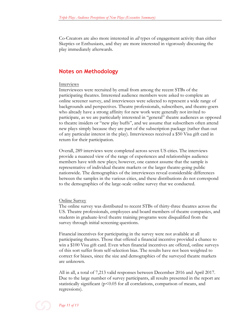Co-Creators are also more interested in *all* types of engagement activity than either Skeptics or Enthusiasts, and they are more interested in vigorously discussing the play immediately afterwards.

# **Notes on Methodology**

#### Interviews

Interviewees were recruited by email from among the recent STBs of the participating theatres. Interested audience members were asked to complete an online screener survey, and interviewees were selected to represent a wide range of backgrounds and perspectives. Theatre professionals, subscribers, and theatre-goers who already have a strong affinity for new work were generally not invited to participate, as we are particularly interested in "general" theatre audiences as opposed to theatre insiders or "new play buffs", and we assume that subscribers often attend new plays simply because they are part of the subscription package (rather than out of any particular interest in the play). Interviewees received a \$50 Visa gift card in return for their participation.

Overall, 289 interviews were completed across seven US cities. The interviews provide a nuanced view of the range of experiences and relationships audience members have with new plays; however, one cannot assume that the sample is representative of individual theatre markets or the larger theatre-going public nationwide. The demographics of the interviewees reveal considerable differences between the samples in the various cities, and these distributions do not correspond to the demographics of the large-scale online survey that we conducted.

#### Online Survey

The online survey was distributed to recent STBs of thirty-three theatres across the US. Theatre professionals, employees and board members of theatre companies, and students in graduate-level theatre training programs were disqualified from the survey through initial screening questions.

Financial incentives for participating in the survey were not available at all participating theatres. Those that offered a financial incentive provided a chance to win a \$100 Visa gift card. Even when financial incentives are offered, online surveys of this sort suffer from self-selection bias. The results have not been weighted to correct for biases, since the size and demographics of the surveyed theatre markets are unknown.

All in all, a total of 7,213 valid responses between December 2016 and April 2017. Due to the large number of survey participants, all results presented in the report are statistically significant (p<0.05 for all correlations, comparison of means, and regressions).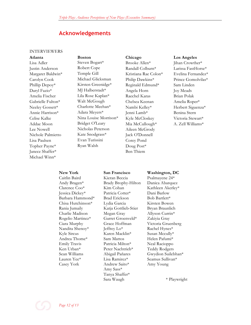# **Acknowledgements**

#### INTERVIEWERS

Janece Shaffer\* Ben Thiem Michael Winn\*

**Atlanta Boston Chicago Los Angeles** Lisa Adler Steven Bogart\* Brooke Allen\* Jihan Crowther\* Justin Anderson Robert Cope Randall Colburn\* Larissa FastHorse\* Margaret Baldwin\* Temple Gill Kristiana Rae Colon\* Evelina Fernandez\* Carolyn Cook Michael Glicksman Philip Dawkins\* Prince Gomolvilas\* Phillip Depoy\* Kirsten Greenidge\* Reginald Edmund\* Sam Linden Daryl Fazio\* MJ Halberstadt\* Angela Horn Joy Meads Amelia Fischer Lila Rose Kaplan\* Raechel Karas Brian Polak Gabrielle Fulton\* Walt McGough Chelsea Keenan Amelia Roper\* Neeley Gossett\* Charlotte Meehan\* Nambi Kelley\* Herbert Siguenza\* Annie Harrison\* Adara Meyers\* Jenni Lamb\* Benina Stern Celise Kalke Nina Louise Morrison\* Kyle McCloskey Victoria Stewart\* Addae Moon Bridget O'Leary Mia McCullough\* A. Zell Williams\* Lee Nowell Nicholas Peterson Aileen McGrody Nichole Palmietto Kate Snodgrass\* Jack O'Donnell Lisa Paulsen Evan Turissini Corey Pond Topher Payne\* Ryan Walsh Doug Post\*

**New York San Francisco Washington, DC** Caitlin Baird Kieran Beccia Psalmayene 24\* Andy Bragen\* Brady Brophy-Hilton Danica Abarquez Clarence Coo\* Kim Cohan Kathleen Akerley\* Jessica Dickey\* Patricia Cotter\* Dani Barlow Barbara Hammond\* Brad Erickson Bob Bartlett\* Chisa Hutchinson\* Lydia Garcia Kirsten Bowen Rania Jumaily Katja Gottlieb-Stier Bryan Braunlich Charlie Madison Megan Gray Allyson Currin\* Rogelio Martinez\* Garret Groenveld\* Zakiyia Gray Ciara Murphy Grace Hoffman Victoria Gruenberg Nandita Shenoy\* Jeffrey Lo\* Rachel Hynes\* Kyle Sircus Karen Macklin\* Susan Mccully\* Andrea Thome\* Sam Mattos Helen Pafumi\* Emily Travis Patricia Milton\* Neal Racioppo Ken Urban\* Peter Nachtrieb\* Teddy Rodgers Sean Williams Abigail Pañares Gwydion Suilebhan\* Lauren Yee\* Lisa Ramirez\* Seamus Sullivan\* Casey York Andrew Saito\* Amy Young Amy Sass\* Tanya Shaffer\*

Sara Waugh  $*$  Playwright

## *Page 12 of 13*